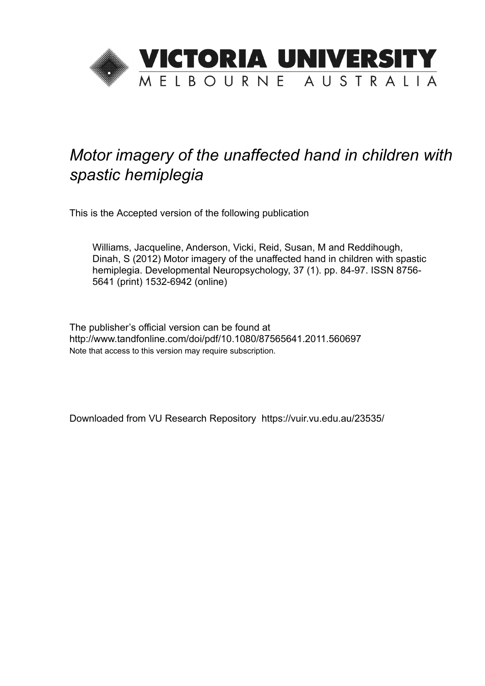

# *Motor imagery of the unaffected hand in children with spastic hemiplegia*

This is the Accepted version of the following publication

Williams, Jacqueline, Anderson, Vicki, Reid, Susan, M and Reddihough, Dinah, S (2012) Motor imagery of the unaffected hand in children with spastic hemiplegia. Developmental Neuropsychology, 37 (1). pp. 84-97. ISSN 8756- 5641 (print) 1532-6942 (online)

The publisher's official version can be found at http://www.tandfonline.com/doi/pdf/10.1080/87565641.2011.560697 Note that access to this version may require subscription.

Downloaded from VU Research Repository https://vuir.vu.edu.au/23535/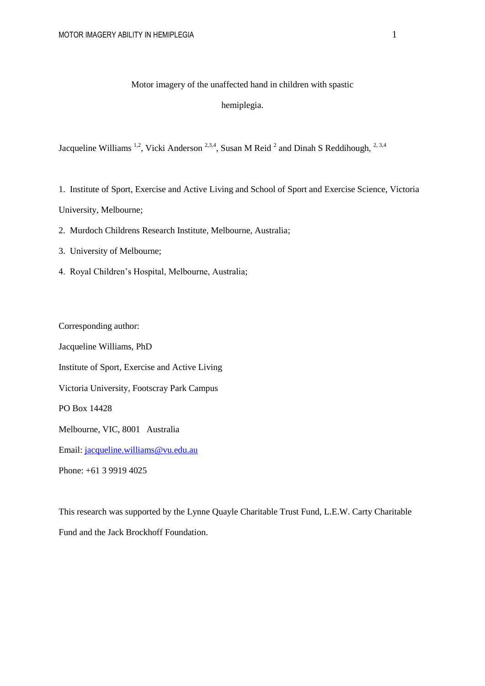## Motor imagery of the unaffected hand in children with spastic

## hemiplegia.

Jacqueline Williams<sup>1,2</sup>, Vicki Anderson<sup>2,3,4</sup>, Susan M Reid<sup>2</sup> and Dinah S Reddihough,<sup>2,3,4</sup>

1. Institute of Sport, Exercise and Active Living and School of Sport and Exercise Science, Victoria

University, Melbourne;

- 2. Murdoch Childrens Research Institute, Melbourne, Australia;
- 3. University of Melbourne;
- 4. Royal Children's Hospital, Melbourne, Australia;

Corresponding author:

Jacqueline Williams, PhD

Institute of Sport, Exercise and Active Living

Victoria University, Footscray Park Campus

PO Box 14428

Melbourne, VIC, 8001 Australia

Email: [jacqueline.williams@vu.edu.au](mailto:jacqueline.williams@vu.edu.au)

Phone: +61 3 9919 4025

This research was supported by the Lynne Quayle Charitable Trust Fund, L.E.W. Carty Charitable Fund and the Jack Brockhoff Foundation.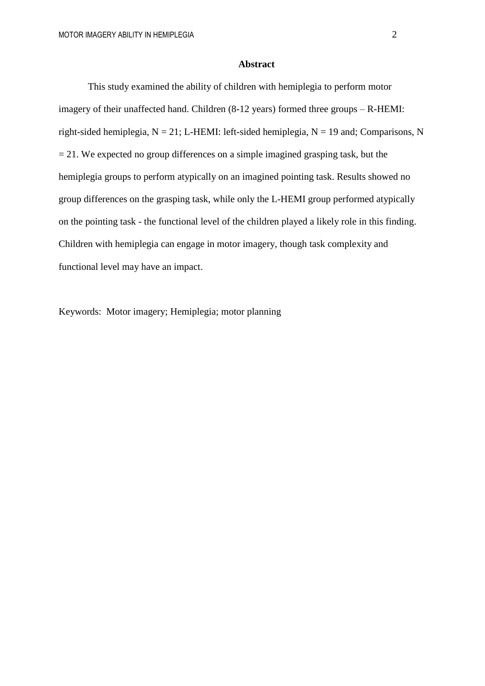#### **Abstract**

This study examined the ability of children with hemiplegia to perform motor imagery of their unaffected hand. Children (8-12 years) formed three groups – R-HEMI: right-sided hemiplegia,  $N = 21$ ; L-HEMI: left-sided hemiplegia,  $N = 19$  and; Comparisons, N  $= 21$ . We expected no group differences on a simple imagined grasping task, but the hemiplegia groups to perform atypically on an imagined pointing task. Results showed no group differences on the grasping task, while only the L-HEMI group performed atypically on the pointing task - the functional level of the children played a likely role in this finding. Children with hemiplegia can engage in motor imagery, though task complexity and functional level may have an impact.

Keywords: Motor imagery; Hemiplegia; motor planning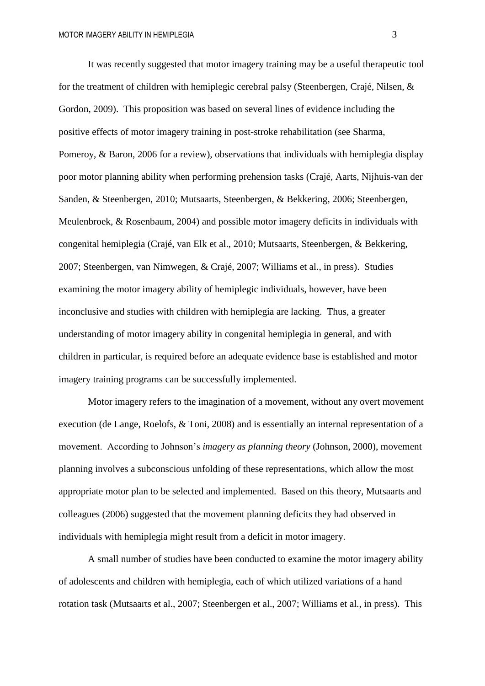It was recently suggested that motor imagery training may be a useful therapeutic tool for the treatment of children with hemiplegic cerebral palsy (Steenbergen, Crajé, Nilsen, & Gordon, 2009). This proposition was based on several lines of evidence including the positive effects of motor imagery training in post-stroke rehabilitation (see Sharma, Pomeroy, & Baron, 2006 for a review), observations that individuals with hemiplegia display poor motor planning ability when performing prehension tasks (Crajé, Aarts, Nijhuis-van der Sanden, & Steenbergen, 2010; Mutsaarts, Steenbergen, & Bekkering, 2006; Steenbergen, Meulenbroek, & Rosenbaum, 2004) and possible motor imagery deficits in individuals with congenital hemiplegia (Crajé, van Elk et al., 2010; Mutsaarts, Steenbergen, & Bekkering, 2007; Steenbergen, van Nimwegen, & Crajé, 2007; Williams et al., in press). Studies examining the motor imagery ability of hemiplegic individuals, however, have been inconclusive and studies with children with hemiplegia are lacking. Thus, a greater understanding of motor imagery ability in congenital hemiplegia in general, and with children in particular, is required before an adequate evidence base is established and motor imagery training programs can be successfully implemented.

Motor imagery refers to the imagination of a movement, without any overt movement execution (de Lange, Roelofs, & Toni, 2008) and is essentially an internal representation of a movement. According to Johnson's *imagery as planning theory* (Johnson, 2000), movement planning involves a subconscious unfolding of these representations, which allow the most appropriate motor plan to be selected and implemented. Based on this theory, Mutsaarts and colleagues (2006) suggested that the movement planning deficits they had observed in individuals with hemiplegia might result from a deficit in motor imagery.

A small number of studies have been conducted to examine the motor imagery ability of adolescents and children with hemiplegia, each of which utilized variations of a hand rotation task (Mutsaarts et al., 2007; Steenbergen et al., 2007; Williams et al., in press). This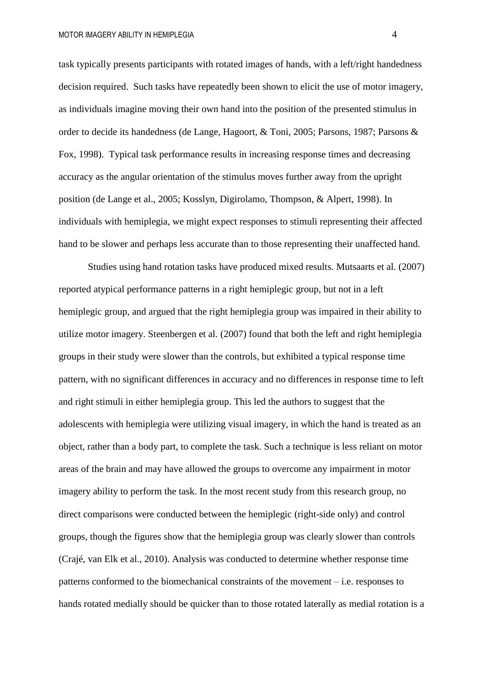task typically presents participants with rotated images of hands, with a left/right handedness decision required. Such tasks have repeatedly been shown to elicit the use of motor imagery, as individuals imagine moving their own hand into the position of the presented stimulus in order to decide its handedness (de Lange, Hagoort, & Toni, 2005; Parsons, 1987; Parsons & Fox, 1998). Typical task performance results in increasing response times and decreasing accuracy as the angular orientation of the stimulus moves further away from the upright position (de Lange et al., 2005; Kosslyn, Digirolamo, Thompson, & Alpert, 1998). In individuals with hemiplegia, we might expect responses to stimuli representing their affected hand to be slower and perhaps less accurate than to those representing their unaffected hand.

Studies using hand rotation tasks have produced mixed results. Mutsaarts et al. (2007) reported atypical performance patterns in a right hemiplegic group, but not in a left hemiplegic group, and argued that the right hemiplegia group was impaired in their ability to utilize motor imagery. Steenbergen et al. (2007) found that both the left and right hemiplegia groups in their study were slower than the controls, but exhibited a typical response time pattern, with no significant differences in accuracy and no differences in response time to left and right stimuli in either hemiplegia group. This led the authors to suggest that the adolescents with hemiplegia were utilizing visual imagery, in which the hand is treated as an object, rather than a body part, to complete the task. Such a technique is less reliant on motor areas of the brain and may have allowed the groups to overcome any impairment in motor imagery ability to perform the task. In the most recent study from this research group, no direct comparisons were conducted between the hemiplegic (right-side only) and control groups, though the figures show that the hemiplegia group was clearly slower than controls (Crajé, van Elk et al., 2010). Analysis was conducted to determine whether response time patterns conformed to the biomechanical constraints of the movement – i.e. responses to hands rotated medially should be quicker than to those rotated laterally as medial rotation is a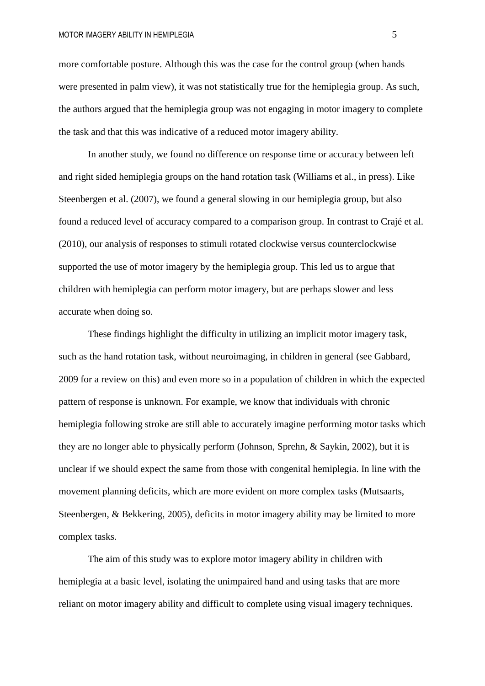more comfortable posture. Although this was the case for the control group (when hands were presented in palm view), it was not statistically true for the hemiplegia group. As such, the authors argued that the hemiplegia group was not engaging in motor imagery to complete the task and that this was indicative of a reduced motor imagery ability.

In another study, we found no difference on response time or accuracy between left and right sided hemiplegia groups on the hand rotation task (Williams et al., in press). Like Steenbergen et al. (2007), we found a general slowing in our hemiplegia group, but also found a reduced level of accuracy compared to a comparison group. In contrast to Crajé et al. (2010), our analysis of responses to stimuli rotated clockwise versus counterclockwise supported the use of motor imagery by the hemiplegia group. This led us to argue that children with hemiplegia can perform motor imagery, but are perhaps slower and less accurate when doing so.

These findings highlight the difficulty in utilizing an implicit motor imagery task, such as the hand rotation task, without neuroimaging, in children in general (see Gabbard, 2009 for a review on this) and even more so in a population of children in which the expected pattern of response is unknown. For example, we know that individuals with chronic hemiplegia following stroke are still able to accurately imagine performing motor tasks which they are no longer able to physically perform (Johnson, Sprehn, & Saykin, 2002), but it is unclear if we should expect the same from those with congenital hemiplegia. In line with the movement planning deficits, which are more evident on more complex tasks (Mutsaarts, Steenbergen, & Bekkering, 2005), deficits in motor imagery ability may be limited to more complex tasks.

The aim of this study was to explore motor imagery ability in children with hemiplegia at a basic level, isolating the unimpaired hand and using tasks that are more reliant on motor imagery ability and difficult to complete using visual imagery techniques.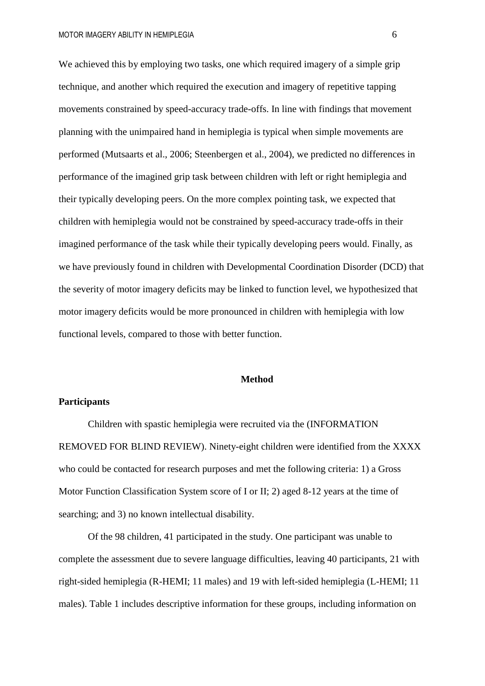We achieved this by employing two tasks, one which required imagery of a simple grip technique, and another which required the execution and imagery of repetitive tapping movements constrained by speed-accuracy trade-offs. In line with findings that movement planning with the unimpaired hand in hemiplegia is typical when simple movements are performed (Mutsaarts et al., 2006; Steenbergen et al., 2004), we predicted no differences in performance of the imagined grip task between children with left or right hemiplegia and their typically developing peers. On the more complex pointing task, we expected that children with hemiplegia would not be constrained by speed-accuracy trade-offs in their imagined performance of the task while their typically developing peers would. Finally, as we have previously found in children with Developmental Coordination Disorder (DCD) that the severity of motor imagery deficits may be linked to function level, we hypothesized that motor imagery deficits would be more pronounced in children with hemiplegia with low functional levels, compared to those with better function.

## **Method**

## **Participants**

Children with spastic hemiplegia were recruited via the (INFORMATION REMOVED FOR BLIND REVIEW). Ninety-eight children were identified from the XXXX who could be contacted for research purposes and met the following criteria: 1) a Gross Motor Function Classification System score of I or II; 2) aged 8-12 years at the time of searching; and 3) no known intellectual disability.

Of the 98 children, 41 participated in the study. One participant was unable to complete the assessment due to severe language difficulties, leaving 40 participants, 21 with right-sided hemiplegia (R-HEMI; 11 males) and 19 with left-sided hemiplegia (L-HEMI; 11 males). Table 1 includes descriptive information for these groups, including information on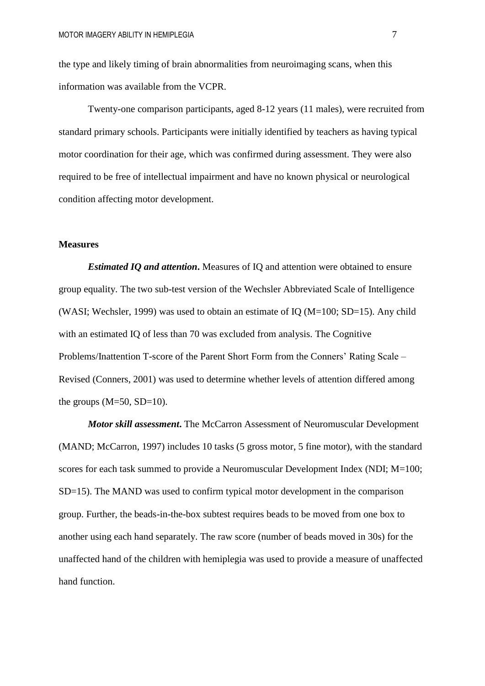the type and likely timing of brain abnormalities from neuroimaging scans, when this information was available from the VCPR.

Twenty-one comparison participants, aged 8-12 years (11 males), were recruited from standard primary schools. Participants were initially identified by teachers as having typical motor coordination for their age, which was confirmed during assessment. They were also required to be free of intellectual impairment and have no known physical or neurological condition affecting motor development.

#### **Measures**

*Estimated IQ and attention***.** Measures of IQ and attention were obtained to ensure group equality. The two sub-test version of the Wechsler Abbreviated Scale of Intelligence (WASI; Wechsler, 1999) was used to obtain an estimate of IQ ( $M=100$ ; SD=15). Any child with an estimated IQ of less than 70 was excluded from analysis. The Cognitive Problems/Inattention T-score of the Parent Short Form from the Conners' Rating Scale – Revised (Conners, 2001) was used to determine whether levels of attention differed among the groups  $(M=50, SD=10)$ .

*Motor skill assessment***.** The McCarron Assessment of Neuromuscular Development (MAND; McCarron, 1997) includes 10 tasks (5 gross motor, 5 fine motor), with the standard scores for each task summed to provide a Neuromuscular Development Index (NDI; M=100; SD=15). The MAND was used to confirm typical motor development in the comparison group. Further, the beads-in-the-box subtest requires beads to be moved from one box to another using each hand separately. The raw score (number of beads moved in 30s) for the unaffected hand of the children with hemiplegia was used to provide a measure of unaffected hand function.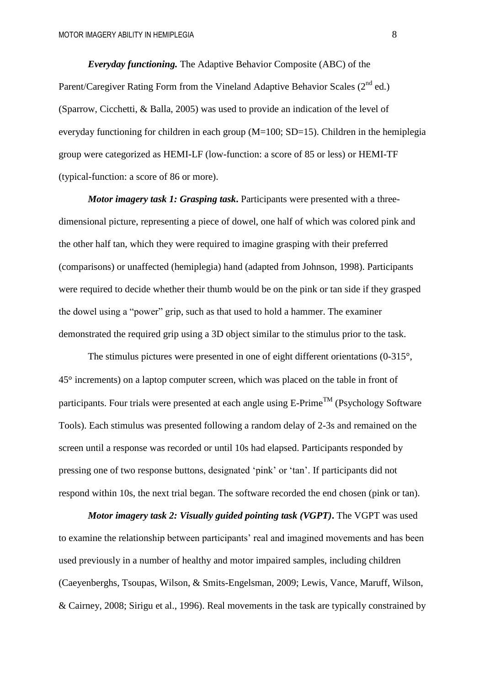*Everyday functioning.* The Adaptive Behavior Composite (ABC) of the Parent/Caregiver Rating Form from the Vineland Adaptive Behavior Scales  $(2^{nd}$  ed.) (Sparrow, Cicchetti, & Balla, 2005) was used to provide an indication of the level of everyday functioning for children in each group (M=100; SD=15). Children in the hemiplegia group were categorized as HEMI-LF (low-function: a score of 85 or less) or HEMI-TF (typical-function: a score of 86 or more).

*Motor imagery task 1: Grasping task***.** Participants were presented with a threedimensional picture, representing a piece of dowel, one half of which was colored pink and the other half tan, which they were required to imagine grasping with their preferred (comparisons) or unaffected (hemiplegia) hand (adapted from Johnson, 1998). Participants were required to decide whether their thumb would be on the pink or tan side if they grasped the dowel using a "power" grip, such as that used to hold a hammer. The examiner demonstrated the required grip using a 3D object similar to the stimulus prior to the task.

The stimulus pictures were presented in one of eight different orientations (0-315°, 45 increments) on a laptop computer screen, which was placed on the table in front of participants. Four trials were presented at each angle using  $E\text{-Prime}^{\text{TM}}$  (Psychology Software Tools). Each stimulus was presented following a random delay of 2-3s and remained on the screen until a response was recorded or until 10s had elapsed. Participants responded by pressing one of two response buttons, designated 'pink' or 'tan'. If participants did not respond within 10s, the next trial began. The software recorded the end chosen (pink or tan).

*Motor imagery task 2: Visually guided pointing task (VGPT)***.** The VGPT was used to examine the relationship between participants' real and imagined movements and has been used previously in a number of healthy and motor impaired samples, including children (Caeyenberghs, Tsoupas, Wilson, & Smits-Engelsman, 2009; Lewis, Vance, Maruff, Wilson, & Cairney, 2008; Sirigu et al., 1996). Real movements in the task are typically constrained by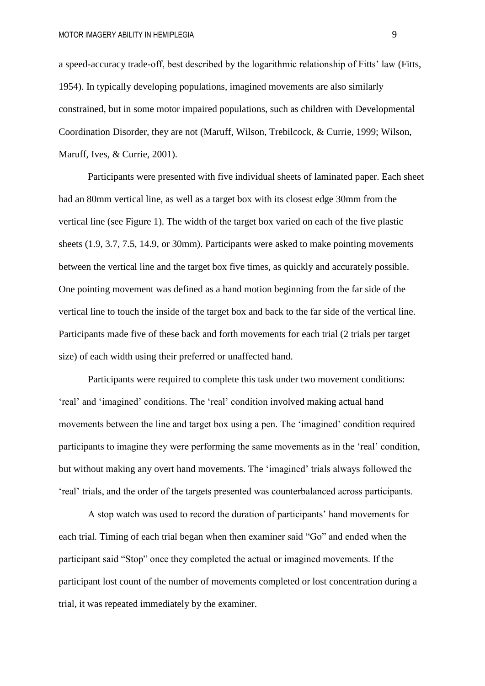a speed-accuracy trade-off, best described by the logarithmic relationship of Fitts' law (Fitts, 1954). In typically developing populations, imagined movements are also similarly constrained, but in some motor impaired populations, such as children with Developmental Coordination Disorder, they are not (Maruff, Wilson, Trebilcock, & Currie, 1999; Wilson, Maruff, Ives, & Currie, 2001).

Participants were presented with five individual sheets of laminated paper. Each sheet had an 80mm vertical line, as well as a target box with its closest edge 30mm from the vertical line (see Figure 1). The width of the target box varied on each of the five plastic sheets (1.9, 3.7, 7.5, 14.9, or 30mm). Participants were asked to make pointing movements between the vertical line and the target box five times, as quickly and accurately possible. One pointing movement was defined as a hand motion beginning from the far side of the vertical line to touch the inside of the target box and back to the far side of the vertical line. Participants made five of these back and forth movements for each trial (2 trials per target size) of each width using their preferred or unaffected hand.

Participants were required to complete this task under two movement conditions: 'real' and 'imagined' conditions. The 'real' condition involved making actual hand movements between the line and target box using a pen. The 'imagined' condition required participants to imagine they were performing the same movements as in the 'real' condition, but without making any overt hand movements. The 'imagined' trials always followed the 'real' trials, and the order of the targets presented was counterbalanced across participants.

A stop watch was used to record the duration of participants' hand movements for each trial. Timing of each trial began when then examiner said "Go" and ended when the participant said "Stop" once they completed the actual or imagined movements. If the participant lost count of the number of movements completed or lost concentration during a trial, it was repeated immediately by the examiner.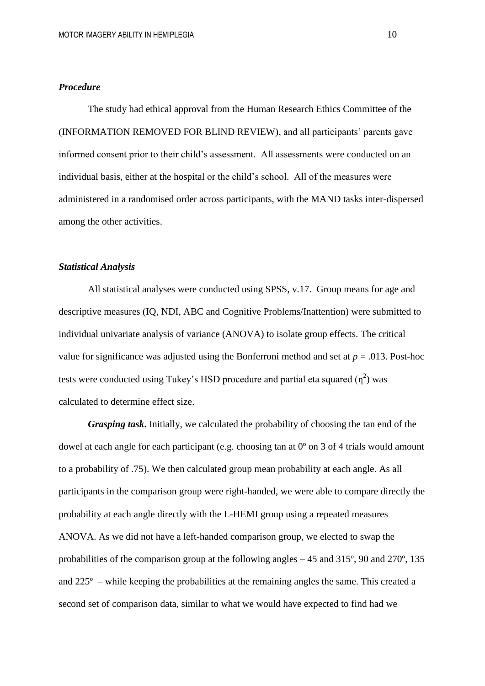# *Procedure*

The study had ethical approval from the Human Research Ethics Committee of the (INFORMATION REMOVED FOR BLIND REVIEW), and all participants' parents gave informed consent prior to their child's assessment. All assessments were conducted on an individual basis, either at the hospital or the child's school. All of the measures were administered in a randomised order across participants, with the MAND tasks inter-dispersed among the other activities.

# *Statistical Analysis*

All statistical analyses were conducted using SPSS, v.17. Group means for age and descriptive measures (IQ, NDI, ABC and Cognitive Problems/Inattention) were submitted to individual univariate analysis of variance (ANOVA) to isolate group effects. The critical value for significance was adjusted using the Bonferroni method and set at *p* = .013. Post-hoc tests were conducted using Tukey's HSD procedure and partial eta squared  $(\eta^2)$  was calculated to determine effect size.

*Grasping task***.** Initially, we calculated the probability of choosing the tan end of the dowel at each angle for each participant (e.g. choosing tan at  $0^{\circ}$  on 3 of 4 trials would amount to a probability of .75). We then calculated group mean probability at each angle. As all participants in the comparison group were right-handed, we were able to compare directly the probability at each angle directly with the L-HEMI group using a repeated measures ANOVA. As we did not have a left-handed comparison group, we elected to swap the probabilities of the comparison group at the following angles – 45 and 315º, 90 and 270º, 135 and 225º – while keeping the probabilities at the remaining angles the same. This created a second set of comparison data, similar to what we would have expected to find had we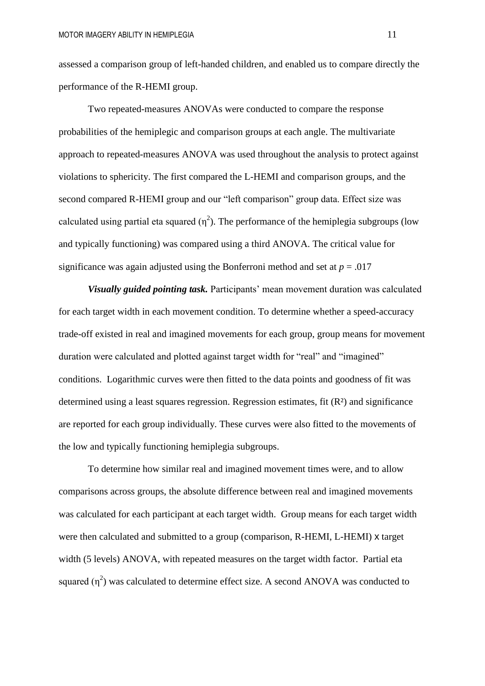assessed a comparison group of left-handed children, and enabled us to compare directly the performance of the R-HEMI group.

Two repeated-measures ANOVAs were conducted to compare the response probabilities of the hemiplegic and comparison groups at each angle. The multivariate approach to repeated-measures ANOVA was used throughout the analysis to protect against violations to sphericity. The first compared the L-HEMI and comparison groups, and the second compared R-HEMI group and our "left comparison" group data. Effect size was calculated using partial eta squared  $(\eta^2)$ . The performance of the hemiplegia subgroups (low and typically functioning) was compared using a third ANOVA. The critical value for significance was again adjusted using the Bonferroni method and set at  $p = .017$ 

*Visually guided pointing task.* Participants' mean movement duration was calculated for each target width in each movement condition. To determine whether a speed-accuracy trade-off existed in real and imagined movements for each group, group means for movement duration were calculated and plotted against target width for "real" and "imagined" conditions. Logarithmic curves were then fitted to the data points and goodness of fit was determined using a least squares regression. Regression estimates, fit (R²) and significance are reported for each group individually. These curves were also fitted to the movements of the low and typically functioning hemiplegia subgroups.

To determine how similar real and imagined movement times were, and to allow comparisons across groups, the absolute difference between real and imagined movements was calculated for each participant at each target width. Group means for each target width were then calculated and submitted to a group (comparison, R-HEMI, L-HEMI) x target width (5 levels) ANOVA, with repeated measures on the target width factor. Partial eta squared  $(\eta^2)$  was calculated to determine effect size. A second ANOVA was conducted to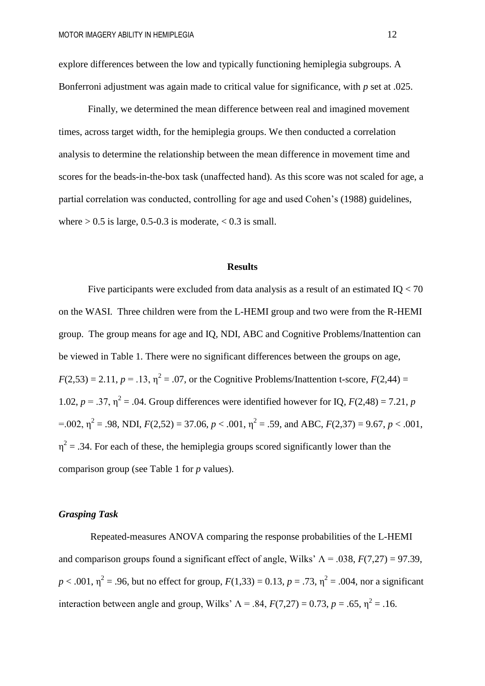explore differences between the low and typically functioning hemiplegia subgroups. A Bonferroni adjustment was again made to critical value for significance, with *p* set at .025.

Finally, we determined the mean difference between real and imagined movement times, across target width, for the hemiplegia groups. We then conducted a correlation analysis to determine the relationship between the mean difference in movement time and scores for the beads-in-the-box task (unaffected hand). As this score was not scaled for age, a partial correlation was conducted, controlling for age and used Cohen's (1988) guidelines, where  $> 0.5$  is large, 0.5-0.3 is moderate,  $< 0.3$  is small.

#### **Results**

Five participants were excluded from data analysis as a result of an estimated IQ < 70 on the WASI. Three children were from the L-HEMI group and two were from the R-HEMI group. The group means for age and IQ, NDI, ABC and Cognitive Problems/Inattention can be viewed in Table 1. There were no significant differences between the groups on age,  $F(2,53) = 2.11, p = .13, \eta^2 = .07$ , or the Cognitive Problems/Inattention t-score,  $F(2,44) =$ 1.02,  $p = 0.37$ ,  $\eta^2 = 0.04$ . Group differences were identified however for IQ,  $F(2,48) = 7.21$ , *p*  $=$  0.02,  $\eta^2$  = .98, NDI,  $F(2,52) = 37.06$ ,  $p < .001$ ,  $\eta^2$  = .59, and ABC,  $F(2,37) = 9.67$ ,  $p < .001$ ,  $\eta^2$  = .34. For each of these, the hemiplegia groups scored significantly lower than the comparison group (see Table 1 for *p* values).

# *Grasping Task*

Repeated-measures ANOVA comparing the response probabilities of the L-HEMI and comparison groups found a significant effect of angle, Wilks'  $\Lambda = .038$ ,  $F(7,27) = 97.39$ ,  $p < .001$ ,  $\eta^2 = .96$ , but no effect for group,  $F(1,33) = 0.13$ ,  $p = .73$ ,  $\eta^2 = .004$ , nor a significant interaction between angle and group, Wilks'  $\Lambda = .84$ ,  $F(7,27) = 0.73$ ,  $p = .65$ ,  $\eta^2 = .16$ .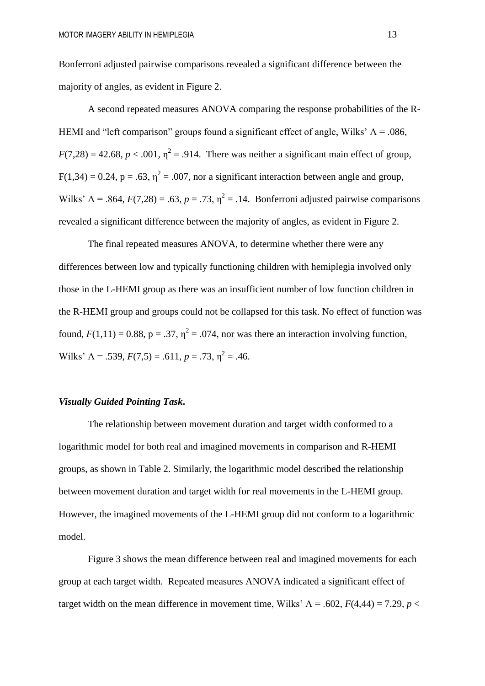Bonferroni adjusted pairwise comparisons revealed a significant difference between the majority of angles, as evident in Figure 2.

A second repeated measures ANOVA comparing the response probabilities of the R-HEMI and "left comparison" groups found a significant effect of angle, Wilks'  $\Lambda = .086$ ,  $F(7,28) = 42.68$ ,  $p < .001$ ,  $\eta^2 = .914$ . There was neither a significant main effect of group,  $F(1,34) = 0.24$ ,  $p = .63$ ,  $\eta^2 = .007$ , nor a significant interaction between angle and group, Wilks'  $\Lambda = .864$ ,  $F(7,28) = .63$ ,  $p = .73$ ,  $\eta^2 = .14$ . Bonferroni adjusted pairwise comparisons revealed a significant difference between the majority of angles, as evident in Figure 2.

The final repeated measures ANOVA, to determine whether there were any differences between low and typically functioning children with hemiplegia involved only those in the L-HEMI group as there was an insufficient number of low function children in the R-HEMI group and groups could not be collapsed for this task. No effect of function was found,  $F(1,11) = 0.88$ ,  $p = .37$ ,  $\eta^2 = .074$ , nor was there an interaction involving function, Wilks'  $\Lambda = .539, F(7,5) = .611, p = .73, \eta^2 = .46.$ 

# *Visually Guided Pointing Task***.**

The relationship between movement duration and target width conformed to a logarithmic model for both real and imagined movements in comparison and R-HEMI groups, as shown in Table 2. Similarly, the logarithmic model described the relationship between movement duration and target width for real movements in the L-HEMI group. However, the imagined movements of the L-HEMI group did not conform to a logarithmic model.

Figure 3 shows the mean difference between real and imagined movements for each group at each target width. Repeated measures ANOVA indicated a significant effect of target width on the mean difference in movement time, Wilks'  $\Lambda = .602$ ,  $F(4,44) = 7.29$ ,  $p <$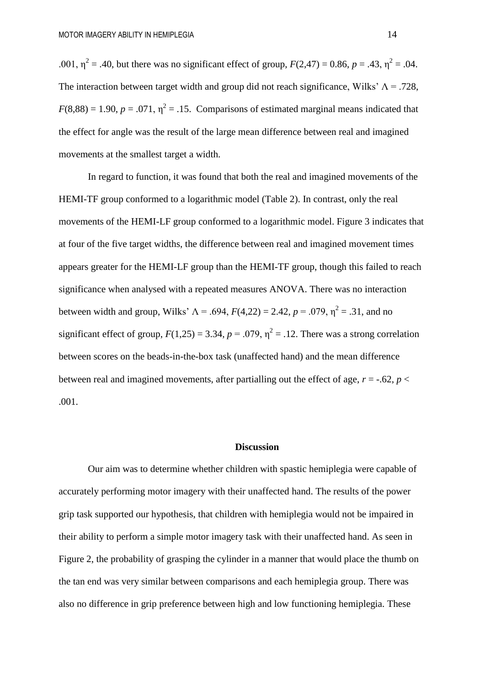.001,  $\eta^2 = .40$ , but there was no significant effect of group,  $F(2,47) = 0.86$ ,  $p = .43$ ,  $\eta^2 = .04$ . The interaction between target width and group did not reach significance, Wilks'  $\Lambda$  = .728,  $F(8,88) = 1.90, p = .071, \eta^2 = .15$ . Comparisons of estimated marginal means indicated that the effect for angle was the result of the large mean difference between real and imagined movements at the smallest target a width.

In regard to function, it was found that both the real and imagined movements of the HEMI-TF group conformed to a logarithmic model (Table 2). In contrast, only the real movements of the HEMI-LF group conformed to a logarithmic model. Figure 3 indicates that at four of the five target widths, the difference between real and imagined movement times appears greater for the HEMI-LF group than the HEMI-TF group, though this failed to reach significance when analysed with a repeated measures ANOVA. There was no interaction between width and group, Wilks'  $\Lambda = .694$ ,  $F(4,22) = 2.42$ ,  $p = .079$ ,  $\eta^2 = .31$ , and no significant effect of group,  $F(1,25) = 3.34$ ,  $p = .079$ ,  $\eta^2 = .12$ . There was a strong correlation between scores on the beads-in-the-box task (unaffected hand) and the mean difference between real and imagined movements, after partialling out the effect of age,  $r = -0.62$ ,  $p <$ .001.

#### **Discussion**

Our aim was to determine whether children with spastic hemiplegia were capable of accurately performing motor imagery with their unaffected hand. The results of the power grip task supported our hypothesis, that children with hemiplegia would not be impaired in their ability to perform a simple motor imagery task with their unaffected hand. As seen in Figure 2, the probability of grasping the cylinder in a manner that would place the thumb on the tan end was very similar between comparisons and each hemiplegia group. There was also no difference in grip preference between high and low functioning hemiplegia. These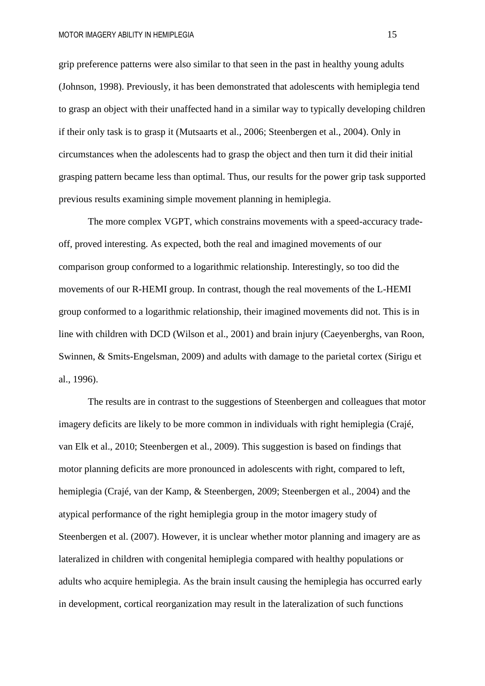grip preference patterns were also similar to that seen in the past in healthy young adults (Johnson, 1998). Previously, it has been demonstrated that adolescents with hemiplegia tend to grasp an object with their unaffected hand in a similar way to typically developing children if their only task is to grasp it (Mutsaarts et al., 2006; Steenbergen et al., 2004). Only in circumstances when the adolescents had to grasp the object and then turn it did their initial grasping pattern became less than optimal. Thus, our results for the power grip task supported previous results examining simple movement planning in hemiplegia.

The more complex VGPT, which constrains movements with a speed-accuracy tradeoff, proved interesting. As expected, both the real and imagined movements of our comparison group conformed to a logarithmic relationship. Interestingly, so too did the movements of our R-HEMI group. In contrast, though the real movements of the L-HEMI group conformed to a logarithmic relationship, their imagined movements did not. This is in line with children with DCD (Wilson et al., 2001) and brain injury (Caeyenberghs, van Roon, Swinnen, & Smits-Engelsman, 2009) and adults with damage to the parietal cortex (Sirigu et al., 1996).

The results are in contrast to the suggestions of Steenbergen and colleagues that motor imagery deficits are likely to be more common in individuals with right hemiplegia (Crajé, van Elk et al., 2010; Steenbergen et al., 2009). This suggestion is based on findings that motor planning deficits are more pronounced in adolescents with right, compared to left, hemiplegia (Crajé, van der Kamp, & Steenbergen, 2009; Steenbergen et al., 2004) and the atypical performance of the right hemiplegia group in the motor imagery study of Steenbergen et al. (2007). However, it is unclear whether motor planning and imagery are as lateralized in children with congenital hemiplegia compared with healthy populations or adults who acquire hemiplegia. As the brain insult causing the hemiplegia has occurred early in development, cortical reorganization may result in the lateralization of such functions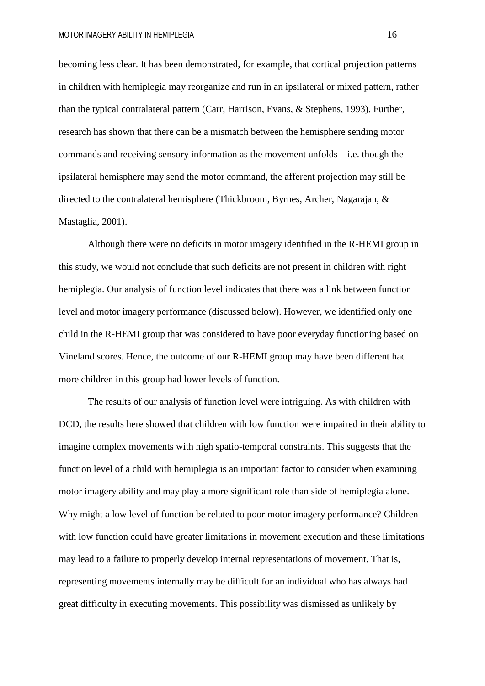becoming less clear. It has been demonstrated, for example, that cortical projection patterns in children with hemiplegia may reorganize and run in an ipsilateral or mixed pattern, rather than the typical contralateral pattern (Carr, Harrison, Evans, & Stephens, 1993). Further, research has shown that there can be a mismatch between the hemisphere sending motor commands and receiving sensory information as the movement unfolds – i.e. though the ipsilateral hemisphere may send the motor command, the afferent projection may still be directed to the contralateral hemisphere (Thickbroom, Byrnes, Archer, Nagarajan, & Mastaglia, 2001).

Although there were no deficits in motor imagery identified in the R-HEMI group in this study, we would not conclude that such deficits are not present in children with right hemiplegia. Our analysis of function level indicates that there was a link between function level and motor imagery performance (discussed below). However, we identified only one child in the R-HEMI group that was considered to have poor everyday functioning based on Vineland scores. Hence, the outcome of our R-HEMI group may have been different had more children in this group had lower levels of function.

The results of our analysis of function level were intriguing. As with children with DCD, the results here showed that children with low function were impaired in their ability to imagine complex movements with high spatio-temporal constraints. This suggests that the function level of a child with hemiplegia is an important factor to consider when examining motor imagery ability and may play a more significant role than side of hemiplegia alone. Why might a low level of function be related to poor motor imagery performance? Children with low function could have greater limitations in movement execution and these limitations may lead to a failure to properly develop internal representations of movement. That is, representing movements internally may be difficult for an individual who has always had great difficulty in executing movements. This possibility was dismissed as unlikely by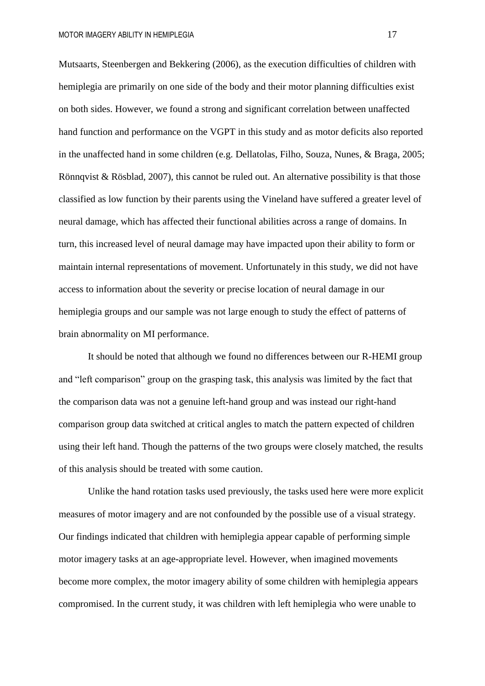Mutsaarts, Steenbergen and Bekkering (2006), as the execution difficulties of children with hemiplegia are primarily on one side of the body and their motor planning difficulties exist on both sides. However, we found a strong and significant correlation between unaffected hand function and performance on the VGPT in this study and as motor deficits also reported in the unaffected hand in some children (e.g. Dellatolas, Filho, Souza, Nunes, & Braga, 2005; Rönnqvist & Rösblad, 2007), this cannot be ruled out. An alternative possibility is that those classified as low function by their parents using the Vineland have suffered a greater level of neural damage, which has affected their functional abilities across a range of domains. In turn, this increased level of neural damage may have impacted upon their ability to form or maintain internal representations of movement. Unfortunately in this study, we did not have access to information about the severity or precise location of neural damage in our hemiplegia groups and our sample was not large enough to study the effect of patterns of brain abnormality on MI performance.

It should be noted that although we found no differences between our R-HEMI group and "left comparison" group on the grasping task, this analysis was limited by the fact that the comparison data was not a genuine left-hand group and was instead our right-hand comparison group data switched at critical angles to match the pattern expected of children using their left hand. Though the patterns of the two groups were closely matched, the results of this analysis should be treated with some caution.

Unlike the hand rotation tasks used previously, the tasks used here were more explicit measures of motor imagery and are not confounded by the possible use of a visual strategy. Our findings indicated that children with hemiplegia appear capable of performing simple motor imagery tasks at an age-appropriate level. However, when imagined movements become more complex, the motor imagery ability of some children with hemiplegia appears compromised. In the current study, it was children with left hemiplegia who were unable to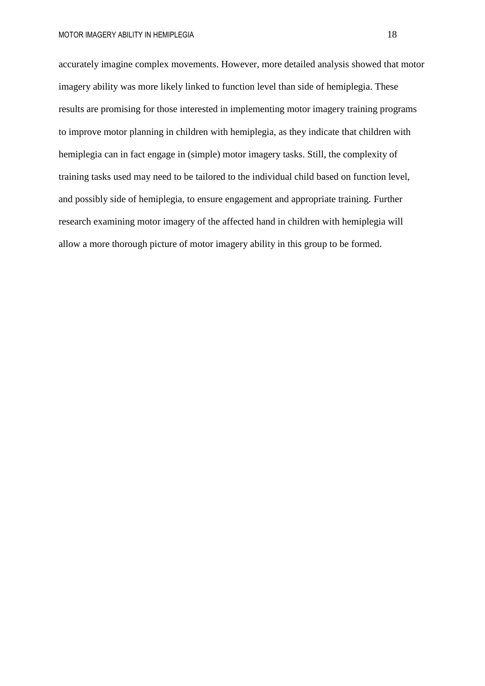accurately imagine complex movements. However, more detailed analysis showed that motor imagery ability was more likely linked to function level than side of hemiplegia. These results are promising for those interested in implementing motor imagery training programs to improve motor planning in children with hemiplegia, as they indicate that children with hemiplegia can in fact engage in (simple) motor imagery tasks. Still, the complexity of training tasks used may need to be tailored to the individual child based on function level, and possibly side of hemiplegia, to ensure engagement and appropriate training. Further research examining motor imagery of the affected hand in children with hemiplegia will allow a more thorough picture of motor imagery ability in this group to be formed.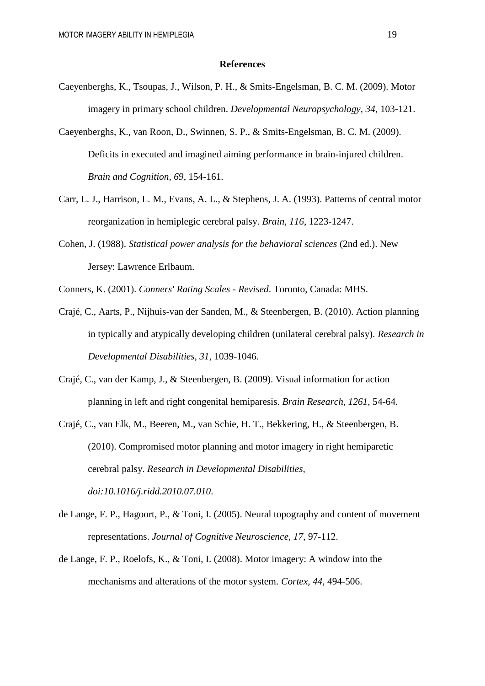#### **References**

- Caeyenberghs, K., Tsoupas, J., Wilson, P. H., & Smits-Engelsman, B. C. M. (2009). Motor imagery in primary school children. *Developmental Neuropsychology, 34*, 103-121.
- Caeyenberghs, K., van Roon, D., Swinnen, S. P., & Smits-Engelsman, B. C. M. (2009). Deficits in executed and imagined aiming performance in brain-injured children. *Brain and Cognition, 69*, 154-161.
- Carr, L. J., Harrison, L. M., Evans, A. L., & Stephens, J. A. (1993). Patterns of central motor reorganization in hemiplegic cerebral palsy. *Brain, 116*, 1223-1247.
- Cohen, J. (1988). *Statistical power analysis for the behavioral sciences* (2nd ed.). New Jersey: Lawrence Erlbaum.
- Conners, K. (2001). *Conners' Rating Scales - Revised*. Toronto, Canada: MHS.
- Crajé, C., Aarts, P., Nijhuis-van der Sanden, M., & Steenbergen, B. (2010). Action planning in typically and atypically developing children (unilateral cerebral palsy). *Research in Developmental Disabilities, 31*, 1039-1046.
- Crajé, C., van der Kamp, J., & Steenbergen, B. (2009). Visual information for action planning in left and right congenital hemiparesis. *Brain Research, 1261*, 54-64.
- Crajé, C., van Elk, M., Beeren, M., van Schie, H. T., Bekkering, H., & Steenbergen, B. (2010). Compromised motor planning and motor imagery in right hemiparetic cerebral palsy. *Research in Developmental Disabilities, doi:10.1016/j.ridd.2010.07.010*.
- de Lange, F. P., Hagoort, P., & Toni, I. (2005). Neural topography and content of movement representations. *Journal of Cognitive Neuroscience, 17*, 97-112.
- de Lange, F. P., Roelofs, K., & Toni, I. (2008). Motor imagery: A window into the mechanisms and alterations of the motor system. *Cortex, 44*, 494-506.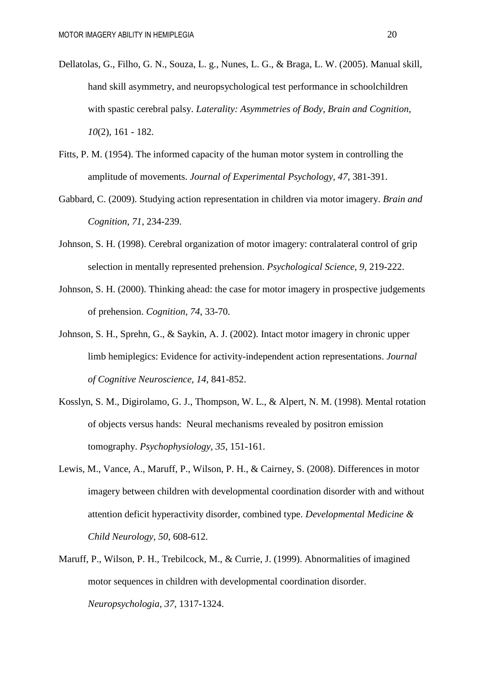- Dellatolas, G., Filho, G. N., Souza, L. g., Nunes, L. G., & Braga, L. W. (2005). Manual skill, hand skill asymmetry, and neuropsychological test performance in schoolchildren with spastic cerebral palsy. *Laterality: Asymmetries of Body, Brain and Cognition, 10*(2), 161 - 182.
- Fitts, P. M. (1954). The informed capacity of the human motor system in controlling the amplitude of movements. *Journal of Experimental Psychology, 47*, 381-391.
- Gabbard, C. (2009). Studying action representation in children via motor imagery. *Brain and Cognition, 71*, 234-239.
- Johnson, S. H. (1998). Cerebral organization of motor imagery: contralateral control of grip selection in mentally represented prehension. *Psychological Science, 9*, 219-222.
- Johnson, S. H. (2000). Thinking ahead: the case for motor imagery in prospective judgements of prehension. *Cognition, 74*, 33-70.
- Johnson, S. H., Sprehn, G., & Saykin, A. J. (2002). Intact motor imagery in chronic upper limb hemiplegics: Evidence for activity-independent action representations. *Journal of Cognitive Neuroscience, 14*, 841-852.
- Kosslyn, S. M., Digirolamo, G. J., Thompson, W. L., & Alpert, N. M. (1998). Mental rotation of objects versus hands: Neural mechanisms revealed by positron emission tomography. *Psychophysiology, 35*, 151-161.
- Lewis, M., Vance, A., Maruff, P., Wilson, P. H., & Cairney, S. (2008). Differences in motor imagery between children with developmental coordination disorder with and without attention deficit hyperactivity disorder, combined type. *Developmental Medicine & Child Neurology, 50*, 608-612.
- Maruff, P., Wilson, P. H., Trebilcock, M., & Currie, J. (1999). Abnormalities of imagined motor sequences in children with developmental coordination disorder. *Neuropsychologia, 37*, 1317-1324.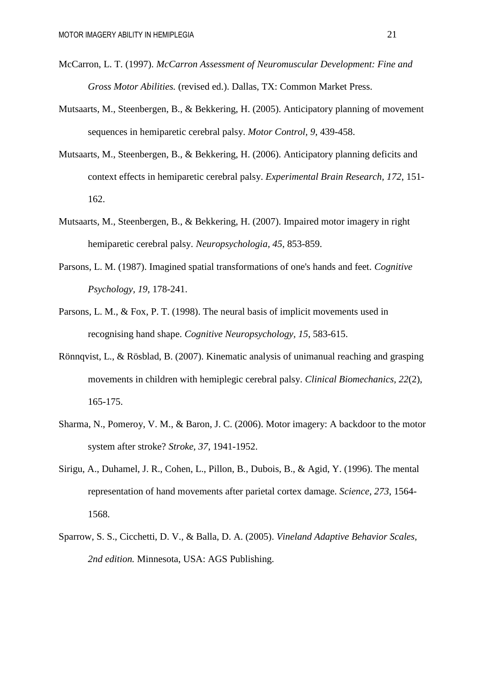- McCarron, L. T. (1997). *McCarron Assessment of Neuromuscular Development: Fine and Gross Motor Abilities.* (revised ed.). Dallas, TX: Common Market Press.
- Mutsaarts, M., Steenbergen, B., & Bekkering, H. (2005). Anticipatory planning of movement sequences in hemiparetic cerebral palsy. *Motor Control, 9*, 439-458.
- Mutsaarts, M., Steenbergen, B., & Bekkering, H. (2006). Anticipatory planning deficits and context effects in hemiparetic cerebral palsy. *Experimental Brain Research, 172*, 151- 162.
- Mutsaarts, M., Steenbergen, B., & Bekkering, H. (2007). Impaired motor imagery in right hemiparetic cerebral palsy. *Neuropsychologia, 45*, 853-859.
- Parsons, L. M. (1987). Imagined spatial transformations of one's hands and feet. *Cognitive Psychology, 19*, 178-241.
- Parsons, L. M., & Fox, P. T. (1998). The neural basis of implicit movements used in recognising hand shape. *Cognitive Neuropsychology, 15*, 583-615.
- Rönnqvist, L., & Rösblad, B. (2007). Kinematic analysis of unimanual reaching and grasping movements in children with hemiplegic cerebral palsy. *Clinical Biomechanics, 22*(2), 165-175.
- Sharma, N., Pomeroy, V. M., & Baron, J. C. (2006). Motor imagery: A backdoor to the motor system after stroke? *Stroke, 37*, 1941-1952.
- Sirigu, A., Duhamel, J. R., Cohen, L., Pillon, B., Dubois, B., & Agid, Y. (1996). The mental representation of hand movements after parietal cortex damage. *Science, 273*, 1564- 1568.
- Sparrow, S. S., Cicchetti, D. V., & Balla, D. A. (2005). *Vineland Adaptive Behavior Scales, 2nd edition.* Minnesota, USA: AGS Publishing.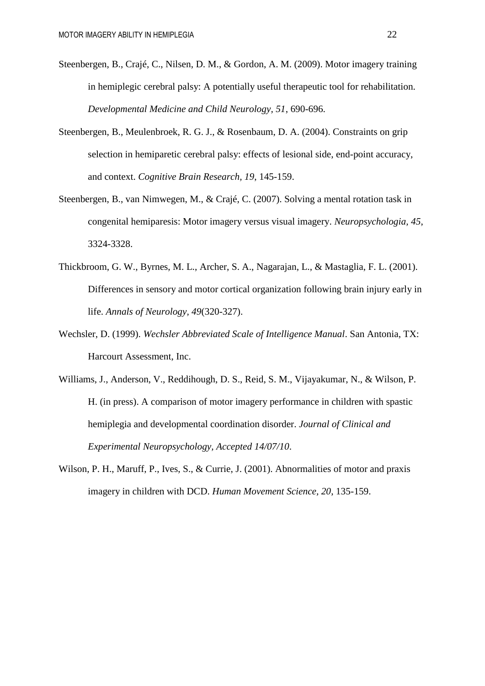- Steenbergen, B., Crajé, C., Nilsen, D. M., & Gordon, A. M. (2009). Motor imagery training in hemiplegic cerebral palsy: A potentially useful therapeutic tool for rehabilitation. *Developmental Medicine and Child Neurology, 51*, 690-696.
- Steenbergen, B., Meulenbroek, R. G. J., & Rosenbaum, D. A. (2004). Constraints on grip selection in hemiparetic cerebral palsy: effects of lesional side, end-point accuracy, and context. *Cognitive Brain Research, 19*, 145-159.
- Steenbergen, B., van Nimwegen, M., & Crajé, C. (2007). Solving a mental rotation task in congenital hemiparesis: Motor imagery versus visual imagery. *Neuropsychologia, 45*, 3324-3328.
- Thickbroom, G. W., Byrnes, M. L., Archer, S. A., Nagarajan, L., & Mastaglia, F. L. (2001). Differences in sensory and motor cortical organization following brain injury early in life. *Annals of Neurology, 49*(320-327).
- Wechsler, D. (1999). *Wechsler Abbreviated Scale of Intelligence Manual*. San Antonia, TX: Harcourt Assessment, Inc.
- Williams, J., Anderson, V., Reddihough, D. S., Reid, S. M., Vijayakumar, N., & Wilson, P. H. (in press). A comparison of motor imagery performance in children with spastic hemiplegia and developmental coordination disorder. *Journal of Clinical and Experimental Neuropsychology, Accepted 14/07/10*.
- Wilson, P. H., Maruff, P., Ives, S., & Currie, J. (2001). Abnormalities of motor and praxis imagery in children with DCD. *Human Movement Science, 20*, 135-159.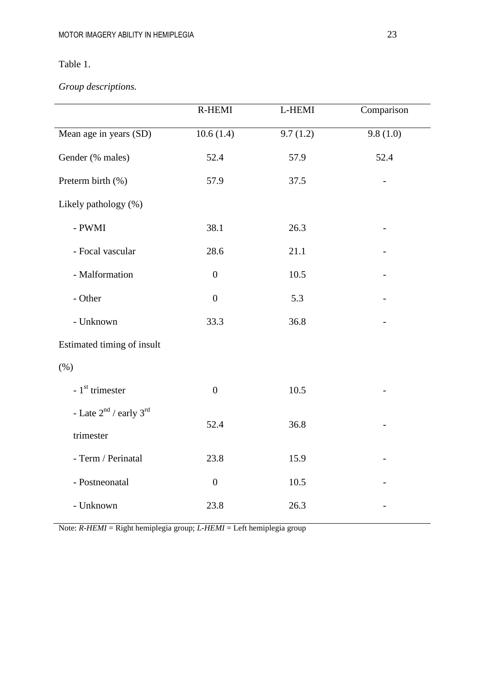# Table 1.

*Group descriptions.*

|                                  | R-HEMI           | L-HEMI   | Comparison |  |
|----------------------------------|------------------|----------|------------|--|
| Mean age in years (SD)           | 10.6(1.4)        | 9.7(1.2) | 9.8(1.0)   |  |
| Gender (% males)                 | 52.4             | 57.9     | 52.4       |  |
| Preterm birth (%)                | 57.9             | 37.5     |            |  |
| Likely pathology (%)             |                  |          |            |  |
| - $\operatorname{PWMI}$          | 38.1             | 26.3     |            |  |
| - Focal vascular                 | 28.6             | 21.1     |            |  |
| - Malformation                   | $\boldsymbol{0}$ | 10.5     |            |  |
| - Other                          | $\boldsymbol{0}$ | 5.3      |            |  |
| - Unknown                        | 33.3             | 36.8     |            |  |
| Estimated timing of insult       |                  |          |            |  |
| (% )                             |                  |          |            |  |
| $-1st$ trimester                 | $\boldsymbol{0}$ | 10.5     |            |  |
| - Late $2^{nd}$ / early $3^{rd}$ |                  |          |            |  |
| trimester                        | 52.4             | 36.8     |            |  |
| - Term / Perinatal               | 23.8             | 15.9     |            |  |
| - Postneonatal                   | $\boldsymbol{0}$ | 10.5     |            |  |
| - Unknown                        | 23.8             | 26.3     |            |  |

Note: *R-HEMI* = Right hemiplegia group; *L-HEMI* = Left hemiplegia group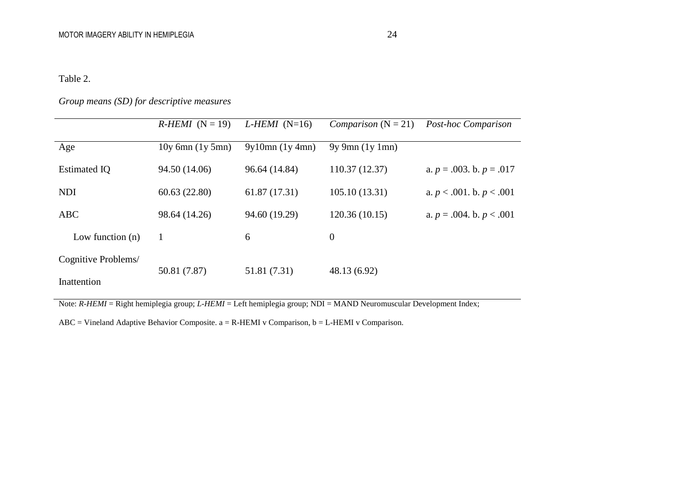# Table 2.

# *Group means (SD) for descriptive measures*

|                                    | $R$ -HEMI (N = 19)   | L-HEMI (N=16) | <i>Comparison</i> $(N = 21)$ | Post-hoc Comparison           |
|------------------------------------|----------------------|---------------|------------------------------|-------------------------------|
| Age                                | $10y$ 6mn $(1y 5mn)$ | 9y10mn(1y4mn) | $9y \, 9mn$ (1y 1mn)         |                               |
| <b>Estimated IQ</b>                | 94.50 (14.06)        | 96.64 (14.84) | 110.37 (12.37)               | a. $p = .003$ . b. $p = .017$ |
| <b>NDI</b>                         | 60.63(22.80)         | 61.87 (17.31) | 105.10(13.31)                | a. $p < .001$ . b. $p < .001$ |
| <b>ABC</b>                         | 98.64 (14.26)        | 94.60 (19.29) | 120.36(10.15)                | a. $p = .004$ . b. $p < .001$ |
| Low function $(n)$                 | 1                    | 6             | $\boldsymbol{0}$             |                               |
| Cognitive Problems/<br>Inattention | 50.81 (7.87)         | 51.81 (7.31)  | 48.13 (6.92)                 |                               |

Note: *R-HEMI* = Right hemiplegia group; *L-HEMI* = Left hemiplegia group; NDI = MAND Neuromuscular Development Index;

ABC = Vineland Adaptive Behavior Composite. a = R-HEMI v Comparison, b = L-HEMI v Comparison.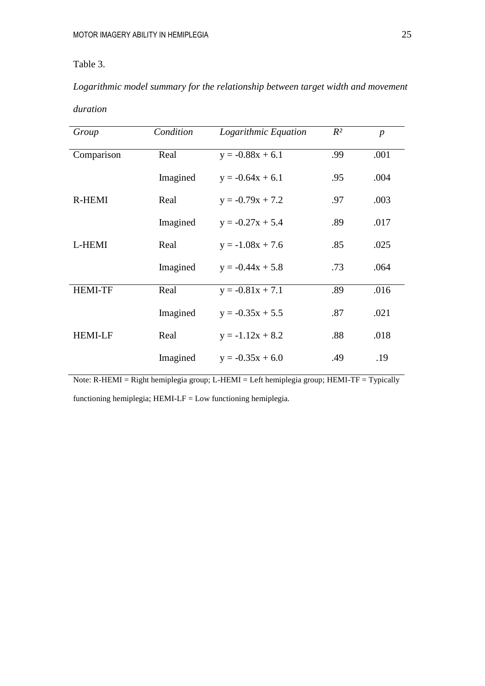# Table 3.

*Logarithmic model summary for the relationship between target width and movement duration*

| Group          | Condition | Logarithmic Equation | $R^2$ | $\boldsymbol{p}$ |
|----------------|-----------|----------------------|-------|------------------|
| Comparison     | Real      | $y = -0.88x + 6.1$   | .99   | .001             |
|                | Imagined  | $y = -0.64x + 6.1$   | .95   | .004             |
| R-HEMI         | Real      | $y = -0.79x + 7.2$   | .97   | .003             |
|                | Imagined  | $y = -0.27x + 5.4$   | .89   | .017             |
| L-HEMI         | Real      | $y = -1.08x + 7.6$   | .85   | .025             |
|                | Imagined  | $y = -0.44x + 5.8$   | .73   | .064             |
| <b>HEMI-TF</b> | Real      | $y = -0.81x + 7.1$   | .89   | .016             |
|                | Imagined  | $y = -0.35x + 5.5$   | .87   | .021             |
| <b>HEMI-LF</b> | Real      | $y = -1.12x + 8.2$   | .88   | .018             |
|                | Imagined  | $y = -0.35x + 6.0$   | .49   | .19              |

Note: R-HEMI = Right hemiplegia group; L-HEMI = Left hemiplegia group; HEMI-TF = Typically

functioning hemiplegia; HEMI-LF = Low functioning hemiplegia.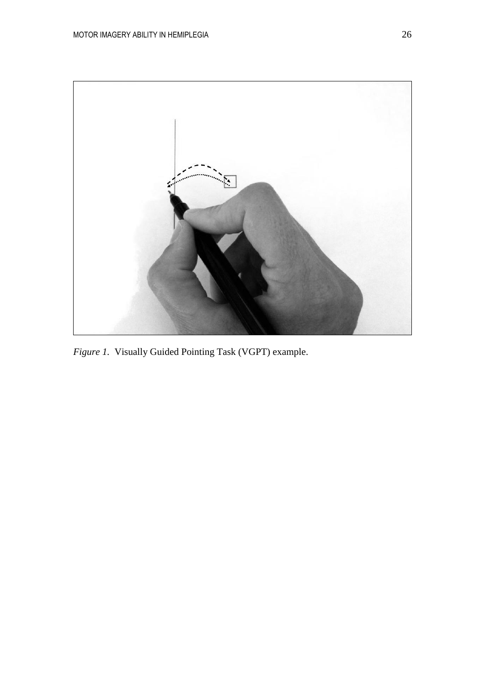

*Figure 1.* Visually Guided Pointing Task (VGPT) example.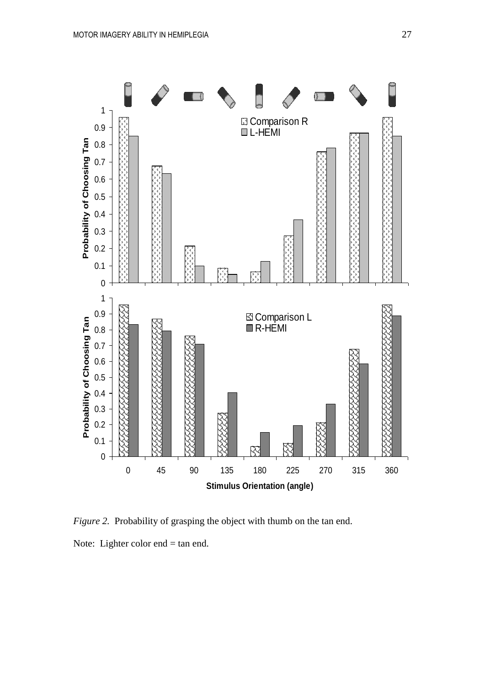

*Figure 2.* Probability of grasping the object with thumb on the tan end. Note: Lighter color end = tan end.